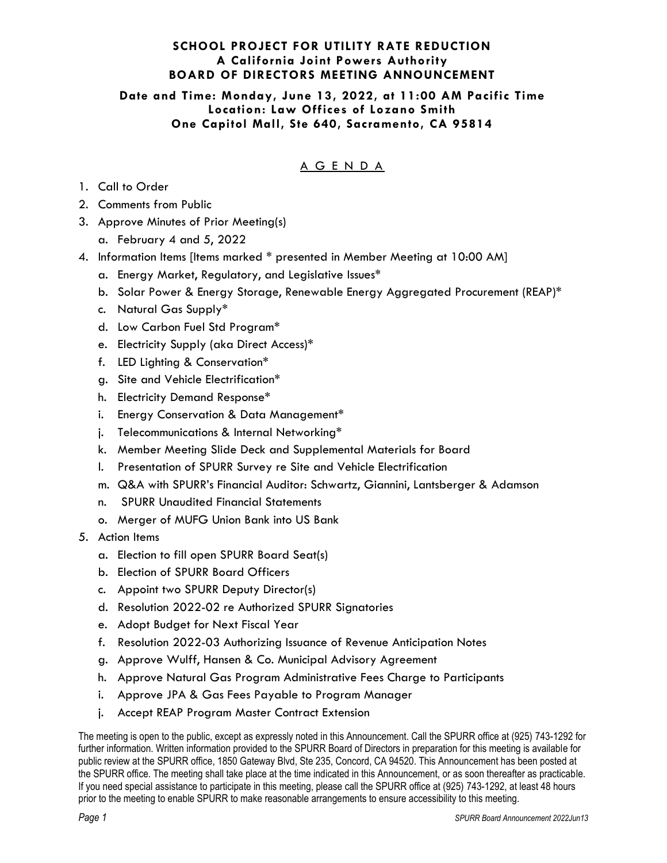## **SCHOOL PROJECT FOR UTILITY RATE REDUCTION A California Joint Powers Authority BOARD OF DIRECTORS MEETING ANNOUNCEMENT**

#### **Date and Time: Monday, June 13, 2022, at 11:00 AM Pacific Time Location: Law Offices of Lozano Smith One Capitol Mall, Ste 640, Sacramento, CA 95814**

# A G E N D A

- 1. Call to Order
- 2. Comments from Public
- 3. Approve Minutes of Prior Meeting(s)
	- a. February 4 and 5, 2022
- 4. Information Items [Items marked \* presented in Member Meeting at 10:00 AM]
	- a. Energy Market, Regulatory, and Legislative Issues\*
	- b. Solar Power & Energy Storage, Renewable Energy Aggregated Procurement (REAP)\*
	- c. Natural Gas Supply\*
	- d. Low Carbon Fuel Std Program\*
	- e. Electricity Supply (aka Direct Access)\*
	- f. LED Lighting & Conservation\*
	- g. Site and Vehicle Electrification\*
	- h. Electricity Demand Response\*
	- i. Energy Conservation & Data Management\*
	- j. Telecommunications & Internal Networking\*
	- k. Member Meeting Slide Deck and Supplemental Materials for Board
	- l. Presentation of SPURR Survey re Site and Vehicle Electrification
	- m. Q&A with SPURR's Financial Auditor: Schwartz, Giannini, Lantsberger & Adamson
	- n. SPURR Unaudited Financial Statements
	- o. Merger of MUFG Union Bank into US Bank
- 5. Action Items
	- a. Election to fill open SPURR Board Seat(s)
	- b. Election of SPURR Board Officers
	- c. Appoint two SPURR Deputy Director(s)
	- d. Resolution 2022-02 re Authorized SPURR Signatories
	- e. Adopt Budget for Next Fiscal Year
	- f. Resolution 2022-03 Authorizing Issuance of Revenue Anticipation Notes
	- g. Approve Wulff, Hansen & Co. Municipal Advisory Agreement
	- h. Approve Natural Gas Program Administrative Fees Charge to Participants
	- i. Approve JPA & Gas Fees Payable to Program Manager
	- j. Accept REAP Program Master Contract Extension

The meeting is open to the public, except as expressly noted in this Announcement. Call the SPURR office at (925) 743-1292 for further information. Written information provided to the SPURR Board of Directors in preparation for this meeting is available for public review at the SPURR office, 1850 Gateway Blvd, Ste 235, Concord, CA 94520. This Announcement has been posted at the SPURR office. The meeting shall take place at the time indicated in this Announcement, or as soon thereafter as practicable. If you need special assistance to participate in this meeting, please call the SPURR office at (925) 743-1292, at least 48 hours prior to the meeting to enable SPURR to make reasonable arrangements to ensure accessibility to this meeting.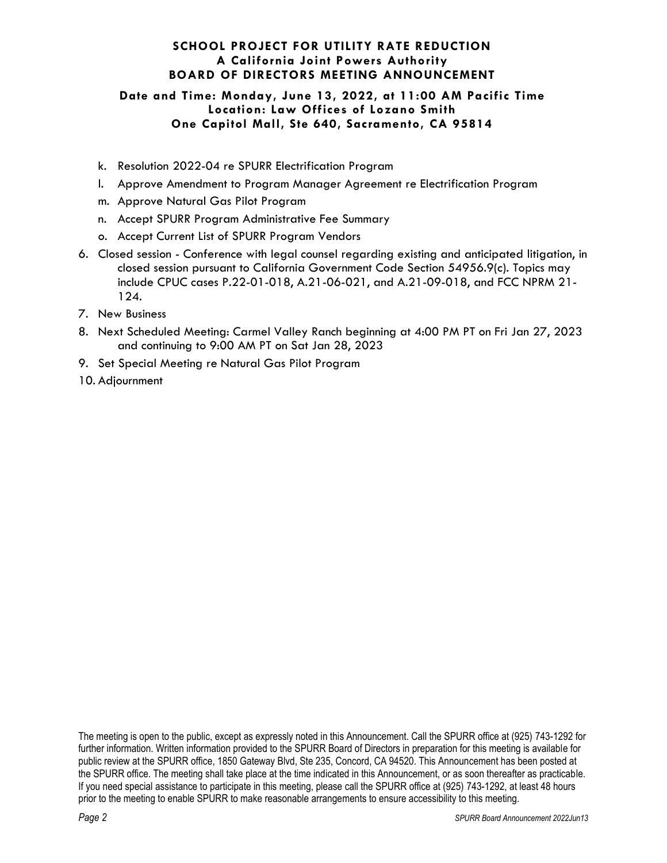### **SCHOOL PROJECT FOR UTILITY RATE REDUCTION A California Joint Powers Authority BOARD OF DIRECTORS MEETING ANNOUNCEMENT**

#### **Date and Time: Monday, June 13, 2022, at 11:00 AM Pacific Time Location: Law Offices of Lozano Smith One Capitol Mall, Ste 640, Sacramento, CA 95814**

- k. Resolution 2022-04 re SPURR Electrification Program
- l. Approve Amendment to Program Manager Agreement re Electrification Program
- m. Approve Natural Gas Pilot Program
- n. Accept SPURR Program Administrative Fee Summary
- o. Accept Current List of SPURR Program Vendors
- 6. Closed session Conference with legal counsel regarding existing and anticipated litigation, in closed session pursuant to California Government Code Section 54956.9(c). Topics may include CPUC cases P.22-01-018, A.21-06-021, and A.21-09-018, and FCC NPRM 21- 124.
- 7. New Business
- 8. Next Scheduled Meeting: Carmel Valley Ranch beginning at 4:00 PM PT on Fri Jan 27, 2023 and continuing to 9:00 AM PT on Sat Jan 28, 2023
- 9. Set Special Meeting re Natural Gas Pilot Program
- 10. Adjournment

The meeting is open to the public, except as expressly noted in this Announcement. Call the SPURR office at (925) 743-1292 for further information. Written information provided to the SPURR Board of Directors in preparation for this meeting is available for public review at the SPURR office, 1850 Gateway Blvd, Ste 235, Concord, CA 94520. This Announcement has been posted at the SPURR office. The meeting shall take place at the time indicated in this Announcement, or as soon thereafter as practicable. If you need special assistance to participate in this meeting, please call the SPURR office at (925) 743-1292, at least 48 hours prior to the meeting to enable SPURR to make reasonable arrangements to ensure accessibility to this meeting.